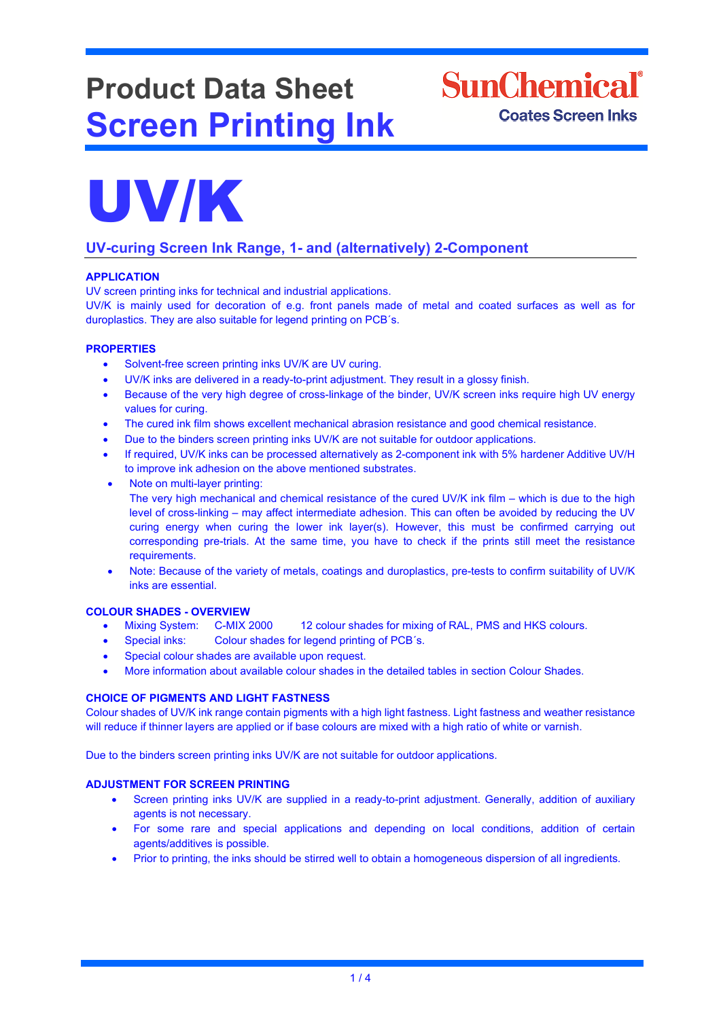# **Product Data Sheet Screen Printing Ink**

**SunChemical**<sup>®</sup> **Coates Screen Inks** 



# **UV-curing Screen Ink Range, 1- and (alternatively) 2-Component**

# **APPLICATION**

UV screen printing inks for technical and industrial applications.

UV/K is mainly used for decoration of e.g. front panels made of metal and coated surfaces as well as for duroplastics. They are also suitable for legend printing on PCB´s.

### **PROPERTIES**

- Solvent-free screen printing inks UV/K are UV curing.
- UV/K inks are delivered in a ready-to-print adjustment. They result in a glossy finish.
- Because of the very high degree of cross-linkage of the binder, UV/K screen inks require high UV energy values for curing.
- The cured ink film shows excellent mechanical abrasion resistance and good chemical resistance.
- Due to the binders screen printing inks UV/K are not suitable for outdoor applications.
- If required, UV/K inks can be processed alternatively as 2-component ink with 5% hardener Additive UV/H to improve ink adhesion on the above mentioned substrates.
- Note on multi-layer printing: The very high mechanical and chemical resistance of the cured UV/K ink film – which is due to the high level of cross-linking – may affect intermediate adhesion. This can often be avoided by reducing the UV curing energy when curing the lower ink layer(s). However, this must be confirmed carrying out corresponding pre-trials. At the same time, you have to check if the prints still meet the resistance requirements.
- Note: Because of the variety of metals, coatings and duroplastics, pre-tests to confirm suitability of UV/K inks are essential.

# **COLOUR SHADES - OVERVIEW**

- Mixing System: C-MIX 2000 12 colour shades for mixing of RAL, PMS and HKS colours.
- Special inks: Colour shades for legend printing of PCB's.
- Special colour shades are available upon request.
- More information about available colour shades in the detailed tables in section Colour Shades.

# **CHOICE OF PIGMENTS AND LIGHT FASTNESS**

Colour shades of UV/K ink range contain pigments with a high light fastness. Light fastness and weather resistance will reduce if thinner layers are applied or if base colours are mixed with a high ratio of white or varnish.

Due to the binders screen printing inks UV/K are not suitable for outdoor applications.

#### **ADJUSTMENT FOR SCREEN PRINTING**

- Screen printing inks UV/K are supplied in a ready-to-print adjustment. Generally, addition of auxiliary agents is not necessary.
- For some rare and special applications and depending on local conditions, addition of certain agents/additives is possible.
- Prior to printing, the inks should be stirred well to obtain a homogeneous dispersion of all ingredients.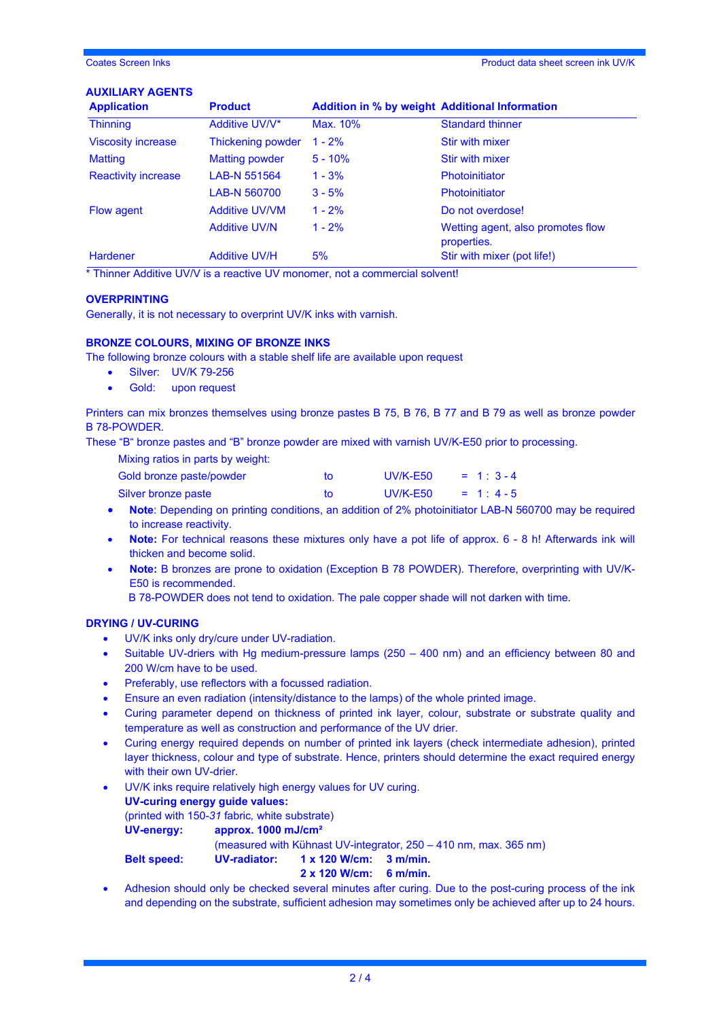#### **AUXILIARY AGENTS**

| <b>Application</b>         | <b>Product</b>        | <b>Addition in % by weight Additional Information</b> |                                                  |
|----------------------------|-----------------------|-------------------------------------------------------|--------------------------------------------------|
| <b>Thinning</b>            | Additive UV/V*        | Max. 10%                                              | <b>Standard thinner</b>                          |
| <b>Viscosity increase</b>  | Thickening powder     | $1 - 2%$                                              | Stir with mixer                                  |
| <b>Matting</b>             | <b>Matting powder</b> | $5 - 10%$                                             | Stir with mixer                                  |
| <b>Reactivity increase</b> | LAB-N 551564          | $1 - 3%$                                              | <b>Photoinitiator</b>                            |
|                            | LAB-N 560700          | $3 - 5%$                                              | <b>Photoinitiator</b>                            |
| <b>Flow agent</b>          | <b>Additive UV/VM</b> | $1 - 2%$                                              | Do not overdose!                                 |
|                            | <b>Additive UV/N</b>  | $1 - 2%$                                              | Wetting agent, also promotes flow<br>properties. |
| <b>Hardener</b>            | <b>Additive UV/H</b>  | 5%                                                    | Stir with mixer (pot life!)                      |

\* Thinner Additive UV/V is a reactive UV monomer, not a commercial solvent!

#### **OVERPRINTING**

Generally, it is not necessary to overprint UV/K inks with varnish.

#### **BRONZE COLOURS, MIXING OF BRONZE INKS**

The following bronze colours with a stable shelf life are available upon request

- Silver: UV/K 79-256
- Gold: upon request

Printers can mix bronzes themselves using bronze pastes B 75, B 76, B 77 and B 79 as well as bronze powder B 78-POWDER.

These "B" bronze pastes and "B" bronze powder are mixed with varnish UV/K-E50 prior to processing.

Mixing ratios in parts by weight:

| Gold bronze paste/powder | TO. | <b>UV/K-E50</b> | $= 1:3-4$  |
|--------------------------|-----|-----------------|------------|
| Silver bronze paste      | to. | <b>UV/K-E50</b> | $= 1: 4-5$ |

- **Note:** Depending on printing conditions, an addition of 2% photoinitiator LAB-N 560700 may be required to increase reactivity.
- **Note:** For technical reasons these mixtures only have a pot life of approx. 6 8 h! Afterwards ink will thicken and become solid.
- **Note:** B bronzes are prone to oxidation (Exception B 78 POWDER). Therefore, overprinting with UV/K-E50 is recommended.

B 78-POWDER does not tend to oxidation. The pale copper shade will not darken with time.

## **DRYING / UV-CURING**

- UV/K inks only dry/cure under UV-radiation.
- Suitable UV-driers with Hg medium-pressure lamps (250 400 nm) and an efficiency between 80 and 200 W/cm have to be used.
- Preferably, use reflectors with a focussed radiation.
- Ensure an even radiation (intensity/distance to the lamps) of the whole printed image.
- Curing parameter depend on thickness of printed ink layer, colour, substrate or substrate quality and temperature as well as construction and performance of the UV drier.
- Curing energy required depends on number of printed ink layers (check intermediate adhesion), printed layer thickness, colour and type of substrate. Hence, printers should determine the exact required energy with their own UV-drier.
- UV/K inks require relatively high energy values for UV curing. **UV-curing energy guide values:**  (printed with 150-*31* fabric*,* white substrate) **UV-energy: approx. 1000 mJ/cm²** (measured with Kühnast UV-integrator, 250 – 410 nm, max. 365 nm) **Belt speed: UV-radiator: 1 x 120 W/cm: 3 m/min. 2 x 120 W/cm: 6 m/min.**
- Adhesion should only be checked several minutes after curing. Due to the post-curing process of the ink and depending on the substrate, sufficient adhesion may sometimes only be achieved after up to 24 hours.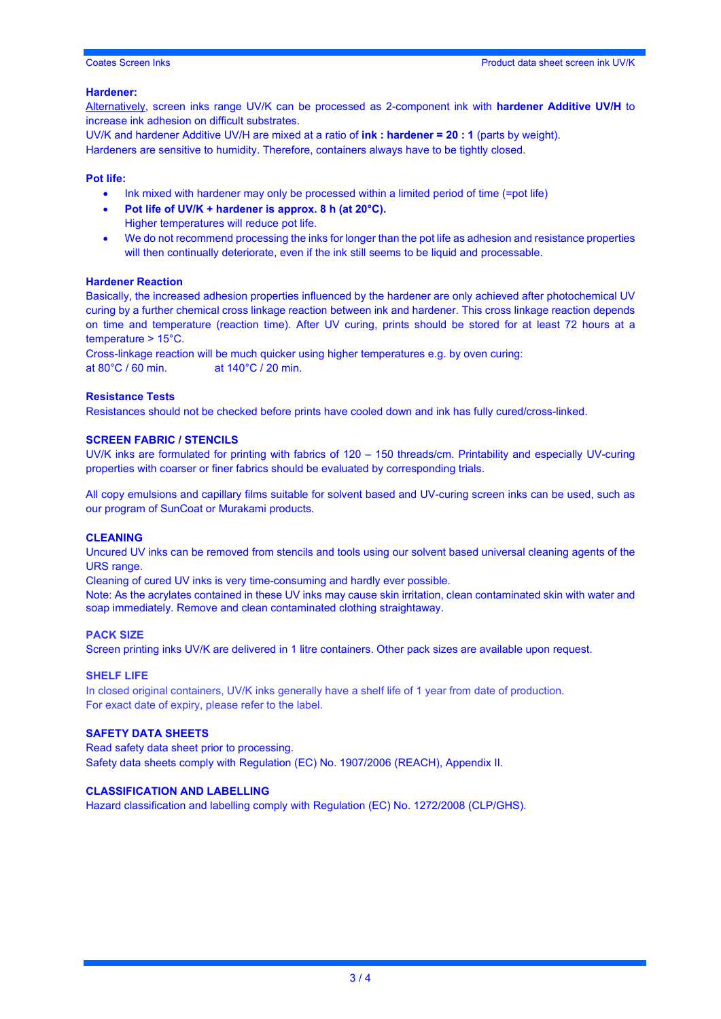#### **Hardener:**

Alternatively, screen inks range UV/K can be processed as 2-component ink with **hardener Additive UV/H** to increase ink adhesion on difficult substrates.

UV/K and hardener Additive UV/H are mixed at a ratio of **ink : hardener = 20 : 1** (parts by weight). Hardeners are sensitive to humidity. Therefore, containers always have to be tightly closed.

#### **Pot life:**

- Ink mixed with hardener may only be processed within a limited period of time (=pot life)
- **Pot life of UV/K + hardener is approx. 8 h (at 20°C).** Higher temperatures will reduce pot life.
- We do not recommend processing the inks for longer than the pot life as adhesion and resistance properties will then continually deteriorate, even if the ink still seems to be liquid and processable.

#### **Hardener Reaction**

Basically, the increased adhesion properties influenced by the hardener are only achieved after photochemical UV curing by a further chemical cross linkage reaction between ink and hardener. This cross linkage reaction depends on time and temperature (reaction time). After UV curing, prints should be stored for at least 72 hours at a temperature > 15°C.

Cross-linkage reaction will be much quicker using higher temperatures e.g. by oven curing: at 80°C / 60 min. at 140°C / 20 min.

#### **Resistance Tests**

Resistances should not be checked before prints have cooled down and ink has fully cured/cross-linked.

#### **SCREEN FABRIC / STENCILS**

UV/K inks are formulated for printing with fabrics of 120 – 150 threads/cm. Printability and especially UV-curing properties with coarser or finer fabrics should be evaluated by corresponding trials.

All copy emulsions and capillary films suitable for solvent based and UV-curing screen inks can be used, such as our program of SunCoat or Murakami products.

#### **CLEANING**

Uncured UV inks can be removed from stencils and tools using our solvent based universal cleaning agents of the URS range.

Cleaning of cured UV inks is very time-consuming and hardly ever possible.

Note: As the acrylates contained in these UV inks may cause skin irritation, clean contaminated skin with water and soap immediately. Remove and clean contaminated clothing straightaway.

#### **PACK SIZE**

Screen printing inks UV/K are delivered in 1 litre containers. Other pack sizes are available upon request.

#### **SHELF LIFE**

In closed original containers, UV/K inks generally have a shelf life of 1 year from date of production. For exact date of expiry, please refer to the label.

#### **SAFETY DATA SHEETS**

Read safety data sheet prior to processing. Safety data sheets comply with Regulation (EC) No. 1907/2006 (REACH), Appendix II.

#### **CLASSIFICATION AND LABELLING**

Hazard classification and labelling comply with Regulation (EC) No. 1272/2008 (CLP/GHS).